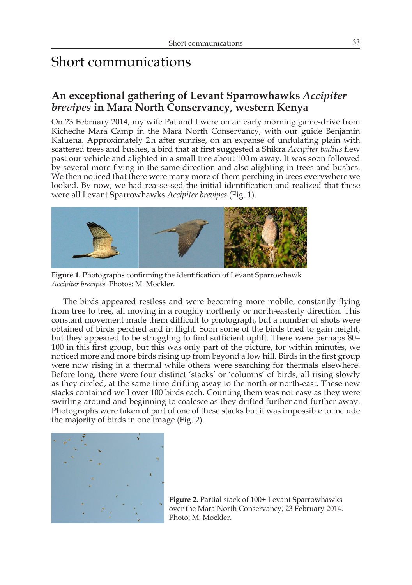# Short communications

## **An exceptional gathering of Levant Sparrowhawks** *Accipiter brevipes* **in Mara North Conservancy, western Kenya**

On 23 February 2014, my wife Pat and I were on an early morning game-drive from Kicheche Mara Camp in the Mara North Conservancy, with our guide Benjamin Kaluena. Approximately 2h after sunrise, on an expanse of undulating plain with scattered trees and bushes, a bird that at first suggested a Shikra *Accipiter badius* flew past our vehicle and alighted in a small tree about 100m away. It was soon followed by several more flying in the same direction and also alighting in trees and bushes. We then noticed that there were many more of them perching in trees everywhere we looked. By now, we had reassessed the initial identification and realized that these were all Levant Sparrowhawks *Accipiter brevipes* (Fig. 1).



 **Figure 1.** Photographs confirming the identification of Levant Sparrowhawk *Accipiter brevipes.* Photos: M. Mockler.

The birds appeared restless and were becoming more mobile, constantly flying from tree to tree, all moving in a roughly northerly or north-easterly direction. This constant movement made them difficult to photograph, but a number of shots were obtained of birds perched and in flight. Soon some of the birds tried to gain height, but they appeared to be struggling to find sufficient uplift. There were perhaps 80– 100 in this first group, but this was only part of the picture, for within minutes, we noticed more and more birds rising up from beyond a low hill. Birds in the first group were now rising in a thermal while others were searching for thermals elsewhere. Before long, there were four distinct 'stacks' or 'columns' of birds, all rising slowly as they circled, at the same time drifting away to the north or north-east. These new stacks contained well over 100 birds each. Counting them was not easy as they were swirling around and beginning to coalesce as they drifted further and further away. Photographs were taken of part of one of these stacks but it was impossible to include the majority of birds in one image (Fig. 2).



**Figure 2.** Partial stack of 100+ Levant Sparrowhawks over the Mara North Conservancy, 23 February 2014. Photo: M. Mockler.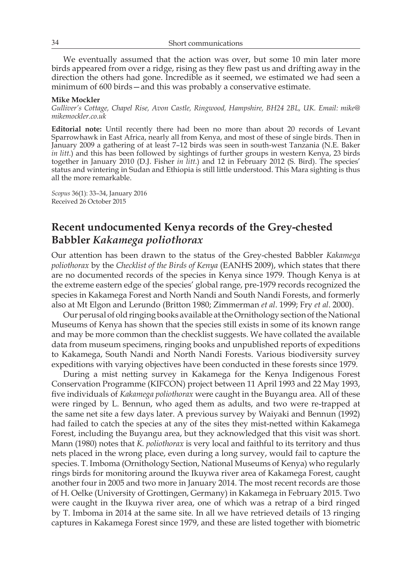We eventually assumed that the action was over, but some 10 min later more birds appeared from over a ridge, rising as they flew past us and drifting away in the direction the others had gone. Incredible as it seemed, we estimated we had seen a minimum of 600 birds—and this was probably a conservative estimate.

#### **Mike Mockler**

*Gulliver's Cottage, Chapel Rise, Avon Castle, Ringwood, Hampshire, BH24 2BL, UK. Email: mike@ mikemockler.co.uk*

**Editorial note:** Until recently there had been no more than about 20 records of Levant Sparrowhawk in East Africa, nearly all from Kenya, and most of these of single birds. Then in January 2009 a gathering of at least 7–12 birds was seen in south-west Tanzania (N.E. Baker *in litt*.) and this has been followed by sightings of further groups in western Kenya, 23 birds together in January 2010 (D.J. Fisher *in litt*.) and 12 in February 2012 (S. Bird). The species' status and wintering in Sudan and Ethiopia is still little understood. This Mara sighting is thus all the more remarkable.

*Scopus* 36(1): 33–34, January 2016 Received 26 October 2015

# **Recent undocumented Kenya records of the Grey-chested Babbler** *Kakamega poliothorax*

Our attention has been drawn to the status of the Grey-chested Babbler *Kakamega poliothorax* by the *Checklist of the Birds of Kenya* (EANHS 2009), which states that there are no documented records of the species in Kenya since 1979. Though Kenya is at the extreme eastern edge of the species' global range, pre-1979 records recognized the species in Kakamega Forest and North Nandi and South Nandi Forests, and formerly also at Mt Elgon and Lerundo (Britton 1980; Zimmerman *et al*. 1999; Fry *et al*. 2000).

Our perusal of old ringing books available at the Ornithology section of the National Museums of Kenya has shown that the species still exists in some of its known range and may be more common than the checklist suggests. We have collated the available data from museum specimens, ringing books and unpublished reports of expeditions to Kakamega, South Nandi and North Nandi Forests. Various biodiversity survey expeditions with varying objectives have been conducted in these forests since 1979.

During a mist netting survey in Kakamega for the Kenya Indigenous Forest Conservation Programme (KIFCON) project between 11 April 1993 and 22 May 1993, five individuals of *Kakamega poliothorax* were caught in the Buyangu area. All of these were ringed by L. Bennun, who aged them as adults, and two were re-trapped at the same net site a few days later. A previous survey by Waiyaki and Bennun (1992) had failed to catch the species at any of the sites they mist-netted within Kakamega Forest, including the Buyangu area, but they acknowledged that this visit was short. Mann (1980) notes that *K. poliothorax* is very local and faithful to its territory and thus nets placed in the wrong place, even during a long survey, would fail to capture the species. T. Imboma (Ornithology Section, National Museums of Kenya) who regularly rings birds for monitoring around the Ikuywa river area of Kakamega Forest, caught another four in 2005 and two more in January 2014. The most recent records are those of H. Oelke (University of Grottingen, Germany) in Kakamega in February 2015. Two were caught in the Ikuywa river area, one of which was a retrap of a bird ringed by T. Imboma in 2014 at the same site. In all we have retrieved details of 13 ringing captures in Kakamega Forest since 1979, and these are listed together with biometric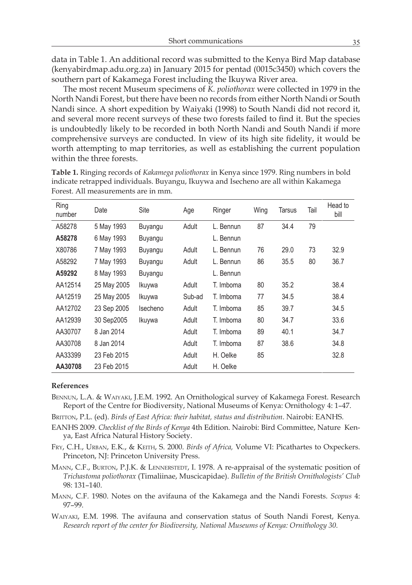data in Table 1. An additional record was submitted to the Kenya Bird Map database (kenyabirdmap.adu.org.za) in January 2015 for pentad (0015c3450) which covers the southern part of Kakamega Forest including the Ikuywa River area.

The most recent Museum specimens of *K. poliothorax* were collected in 1979 in the North Nandi Forest, but there have been no records from either North Nandi or South Nandi since. A short expedition by Waiyaki (1998) to South Nandi did not record it, and several more recent surveys of these two forests failed to find it. But the species is undoubtedly likely to be recorded in both North Nandi and South Nandi if more comprehensive surveys are conducted. In view of its high site fidelity, it would be worth attempting to map territories, as well as establishing the current population within the three forests.

| Ring<br>number | Date        | Site     | Age    | Ringer    | Wing | Tarsus | Tail | Head to<br>bill |
|----------------|-------------|----------|--------|-----------|------|--------|------|-----------------|
| A58278         | 5 May 1993  | Buyangu  | Adult  | L. Bennun | 87   | 34.4   | 79   |                 |
| A58278         | 6 May 1993  | Buyangu  |        | L. Bennun |      |        |      |                 |
| X80786         | 7 May 1993  | Buyangu  | Adult  | L. Bennun | 76   | 29.0   | 73   | 32.9            |
| A58292         | 7 May 1993  | Buyangu  | Adult  | L. Bennun | 86   | 35.5   | 80   | 36.7            |
| A59292         | 8 May 1993  | Buyangu  |        | L. Bennun |      |        |      |                 |
| AA12514        | 25 May 2005 | Ikuywa   | Adult  | T. Imboma | 80   | 35.2   |      | 38.4            |
| AA12519        | 25 May 2005 | Ikuywa   | Sub-ad | T. Imboma | 77   | 34.5   |      | 38.4            |
| AA12702        | 23 Sep 2005 | Isecheno | Adult  | T. Imboma | 85   | 39.7   |      | 34.5            |
| AA12939        | 30 Sep2005  | Ikuywa   | Adult  | T. Imboma | 80   | 34.7   |      | 33.6            |
| AA30707        | 8 Jan 2014  |          | Adult  | T. Imboma | 89   | 40.1   |      | 34.7            |
| AA30708        | 8 Jan 2014  |          | Adult  | T. Imboma | 87   | 38.6   |      | 34.8            |
| AA33399        | 23 Feb 2015 |          | Adult  | H. Oelke  | 85   |        |      | 32.8            |
| AA30708        | 23 Feb 2015 |          | Adult  | H. Oelke  |      |        |      |                 |

**Table 1.** Ringing records of *Kakamega poliothorax* in Kenya since 1979. Ring numbers in bold indicate retrapped individuals. Buyangu, Ikuywa and Isecheno are all within Kakamega Forest. All measurements are in mm.

### **References**

- Bennun, L.A. & Waiyaki, J.E.M. 1992. An Ornithological survey of Kakamega Forest. Research Report of the Centre for Biodiversity, National Museums of Kenya: Ornithology 4: 1–47.
- Britton, P.L. (ed). *Birds of East Africa: their habitat, status and distribution*. Nairobi: EANHS.
- EANHS 2009. *Checklist of the Birds of Kenya* 4th Edition. Nairobi: Bird Committee, Nature Kenya, East Africa Natural History Society.
- Fry, C.H., Urban, E.K., & Keith, S. 2000. *Birds of Africa,* Volume VI: Picathartes to Oxpeckers. Princeton, NJ: Princeton University Press.
- MANN, C.F., BURTON, P.J.K. & LENNERSTEDT, I. 1978. A re-appraisal of the systematic position of *Trichastoma poliothorax* (Timaliinae, Muscicapidae). *Bulletin of the British Ornithologists' Club* 98: 131–140.
- Mann, C.F. 1980. Notes on the avifauna of the Kakamega and the Nandi Forests. *Scopus* 4: 97–99.

Waiyaki, E.M. 1998. The avifauna and conservation status of South Nandi Forest, Kenya*. Research report of the center for Biodiversity, National Museums of Kenya: Ornithology 30.*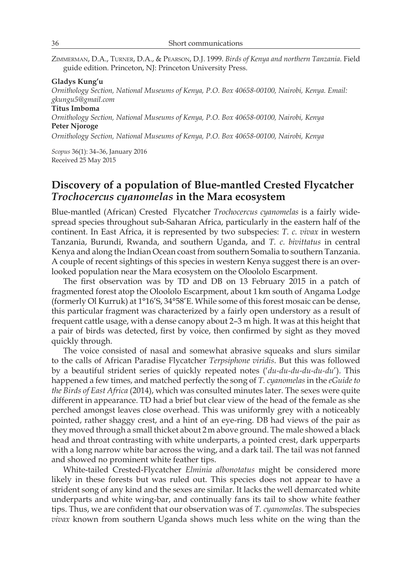Zimmerman, D.A., Turner, D.A., & Pearson, D.J. 1999. *Birds of Kenya and northern Tanzania.* Field guide edition. Princeton, NJ: Princeton University Press.

### **Gladys Kung'u**

*Ornithology Section, National Museums of Kenya, P.O. Box 40658-00100, Nairobi, Kenya. Email: gkungu5@gmail.com*

### **Titus Imboma**

*Ornithology Section, National Museums of Kenya, P.O. Box 40658-00100, Nairobi, Kenya* **Peter Njoroge**

*Ornithology Section, National Museums of Kenya, P.O. Box 40658-00100, Nairobi, Kenya* 

*Scopus* 36(1): 34–36, January 2016 Received 25 May 2015

# **Discovery of a population of Blue-mantled Crested Flycatcher**  *Trochocercus cyanomelas* **in the Mara ecosystem**

Blue-mantled (African) Crested Flycatcher *Trochocercus cyanomelas* is a fairly widespread species throughout sub-Saharan Africa, particularly in the eastern half of the continent. In East Africa, it is represented by two subspecies: *T. c. vivax* in western Tanzania, Burundi, Rwanda, and southern Uganda, and *T. c. bivittatus* in central Kenya and along the Indian Ocean coast from southern Somalia to southern Tanzania. A couple of recent sightings of this species in western Kenya suggest there is an overlooked population near the Mara ecosystem on the Oloololo Escarpment.

The first observation was by TD and DB on 13 February 2015 in a patch of fragmented forest atop the Oloololo Escarpment, about 1km south of Angama Lodge (formerly Ol Kurruk) at 1°16'S, 34°58'E. While some of this forest mosaic can be dense, this particular fragment was characterized by a fairly open understory as a result of frequent cattle usage, with a dense canopy about 2–3 m high. It was at this height that a pair of birds was detected, first by voice, then confirmed by sight as they moved quickly through.

The voice consisted of nasal and somewhat abrasive squeaks and slurs similar to the calls of African Paradise Flycatcher *Terpsiphone viridis*. But this was followed by a beautiful strident series of quickly repeated notes ('*du-du-du-du-du-du*'). This happened a few times, and matched perfectly the song of *T. cyanomelas* in the *eGuide to the Birds of East Africa* (2014), which was consulted minutes later. The sexes were quite different in appearance. TD had a brief but clear view of the head of the female as she perched amongst leaves close overhead. This was uniformly grey with a noticeably pointed, rather shaggy crest, and a hint of an eye-ring. DB had views of the pair as they moved through a small thicket about 2m above ground. The male showed a black head and throat contrasting with white underparts, a pointed crest, dark upperparts with a long narrow white bar across the wing, and a dark tail. The tail was not fanned and showed no prominent white feather tips.

White-tailed Crested-Flycatcher *Elminia albonotatus* might be considered more likely in these forests but was ruled out. This species does not appear to have a strident song of any kind and the sexes are similar. It lacks the well demarcated white underparts and white wing-bar, and continually fans its tail to show white feather tips. Thus, we are confident that our observation was of *T. cyanomelas*. The subspecies *vivax* known from southern Uganda shows much less white on the wing than the